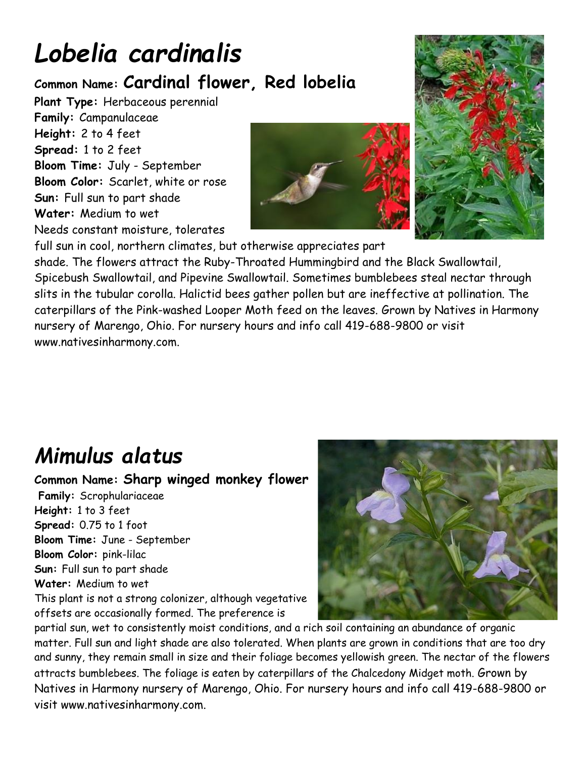# *Lobelia cardinalis*

#### **Common Name: Cardinal flower, Red lobelia**

**Plant Type:** Herbaceous perennial **Family:** Campanulaceae **Height:** 2 to 4 feet **Spread:** 1 to 2 feet **Bloom Time:** July - September **Bloom Color:** Scarlet, white or rose **Sun:** Full sun to part shade **Water:** Medium to wet Needs constant moisture, tolerates





full sun in cool, northern climates, but otherwise appreciates part shade. The flowers attract the Ruby-Throated Hummingbird and the Black Swallowtail, Spicebush Swallowtail, and Pipevine Swallowtail. Sometimes bumblebees steal nectar through slits in the tubular corolla. Halictid bees gather pollen but are ineffective at pollination. The caterpillars of the Pink-washed Looper Moth feed on the leaves. Grown by Natives in Harmony nursery of Marengo, Ohio. For nursery hours and info call 419-688-9800 or visit www.nativesinharmony.com.

### *Mimulus alatus*

**Common Name: Sharp winged monkey flower Family:** Scrophulariaceae **Height:** 1 to 3 feet **Spread:** 0.75 to 1 foot **Bloom Time:** June - September **Bloom Color:** pink-lilac **Sun:** Full sun to part shade

**Water:** Medium to wet

This plant is not a strong colonizer, although vegetative offsets are occasionally formed. The preference is



partial sun, wet to consistently moist conditions, and a rich soil containing an abundance of organic matter. Full sun and light shade are also tolerated. When plants are grown in conditions that are too dry and sunny, they remain small in size and their foliage becomes yellowish green. The nectar of the flowers attracts bumblebees. The foliage is eaten by caterpillars of the Chalcedony Midget moth. Grown by Natives in Harmony nursery of Marengo, Ohio. For nursery hours and info call 419-688-9800 or visit www.nativesinharmony.com.